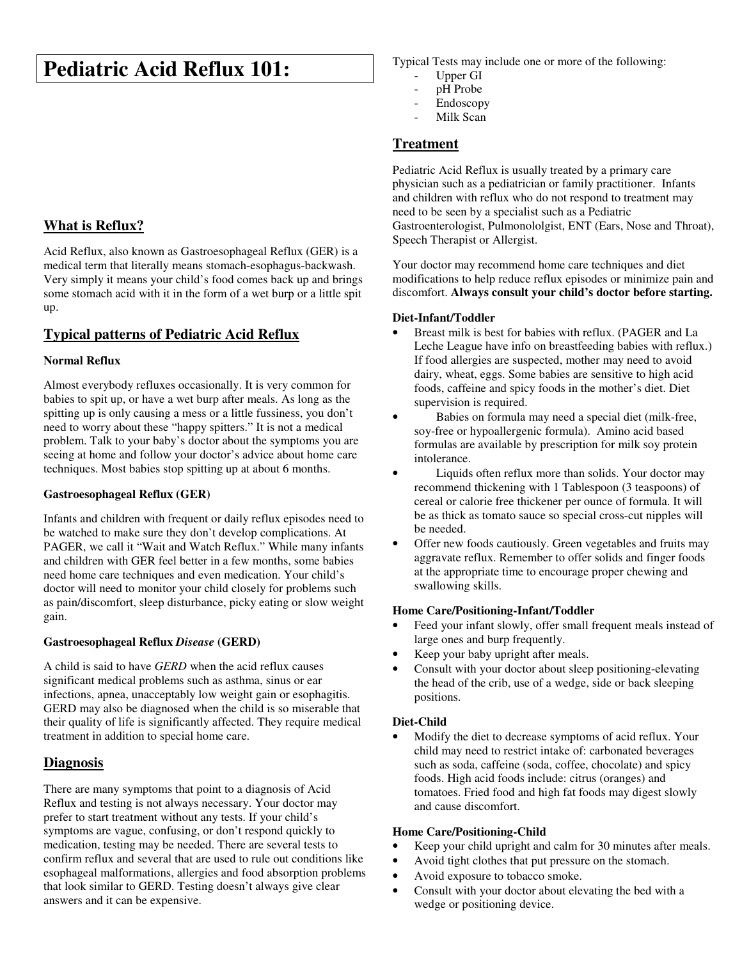# **Pediatric Acid Reflux 101:**

# **What is Reflux?**

Acid Reflux, also known as Gastroesophageal Reflux (GER) is a medical term that literally means stomach-esophagus-backwash. Very simply it means your child's food comes back up and brings some stomach acid with it in the form of a wet burp or a little spit up.

## **Typical patterns of Pediatric Acid Reflux**

#### **Normal Reflux**

Almost everybody refluxes occasionally. It is very common for babies to spit up, or have a wet burp after meals. As long as the spitting up is only causing a mess or a little fussiness, you don't need to worry about these "happy spitters." It is not a medical problem. Talk to your baby's doctor about the symptoms you are seeing at home and follow your doctor's advice about home care techniques. Most babies stop spitting up at about 6 months.

#### **Gastroesophageal Reflux (GER)**

Infants and children with frequent or daily reflux episodes need to be watched to make sure they don't develop complications. At PAGER, we call it "Wait and Watch Reflux." While many infants and children with GER feel better in a few months, some babies need home care techniques and even medication. Your child's doctor will need to monitor your child closely for problems such as pain/discomfort, sleep disturbance, picky eating or slow weight gain.

#### **Gastroesophageal Reflux** *Disease* **(GERD)**

A child is said to have *GERD* when the acid reflux causes significant medical problems such as asthma, sinus or ear infections, apnea, unacceptably low weight gain or esophagitis. GERD may also be diagnosed when the child is so miserable that their quality of life is significantly affected. They require medical treatment in addition to special home care.

## **Diagnosis**

There are many symptoms that point to a diagnosis of Acid Reflux and testing is not always necessary. Your doctor may prefer to start treatment without any tests. If your child's symptoms are vague, confusing, or don't respond quickly to medication, testing may be needed. There are several tests to confirm reflux and several that are used to rule out conditions like esophageal malformations, allergies and food absorption problems that look similar to GERD. Testing doesn't always give clear answers and it can be expensive.

Typical Tests may include one or more of the following:

- Upper GI
- pH Probe
- Endoscopy
- Milk Scan

### **Treatment**

Pediatric Acid Reflux is usually treated by a primary care physician such as a pediatrician or family practitioner. Infants and children with reflux who do not respond to treatment may need to be seen by a specialist such as a Pediatric Gastroenterologist, Pulmonololgist, ENT (Ears, Nose and Throat), Speech Therapist or Allergist.

Your doctor may recommend home care techniques and diet modifications to help reduce reflux episodes or minimize pain and discomfort. **Always consult your child's doctor before starting.** 

#### **Diet-Infant/Toddler**

- Breast milk is best for babies with reflux. (PAGER and La Leche League have info on breastfeeding babies with reflux.) If food allergies are suspected, mother may need to avoid dairy, wheat, eggs. Some babies are sensitive to high acid foods, caffeine and spicy foods in the mother's diet. Diet supervision is required.
- Babies on formula may need a special diet (milk-free, soy-free or hypoallergenic formula). Amino acid based formulas are available by prescription for milk soy protein intolerance.
- Liquids often reflux more than solids. Your doctor may recommend thickening with 1 Tablespoon (3 teaspoons) of cereal or calorie free thickener per ounce of formula. It will be as thick as tomato sauce so special cross-cut nipples will be needed.
- Offer new foods cautiously. Green vegetables and fruits may aggravate reflux. Remember to offer solids and finger foods at the appropriate time to encourage proper chewing and swallowing skills.

#### **Home Care/Positioning-Infant/Toddler**

- Feed your infant slowly, offer small frequent meals instead of large ones and burp frequently.
- Keep your baby upright after meals.
- Consult with your doctor about sleep positioning-elevating the head of the crib, use of a wedge, side or back sleeping positions.

#### **Diet-Child**

• Modify the diet to decrease symptoms of acid reflux. Your child may need to restrict intake of: carbonated beverages such as soda, caffeine (soda, coffee, chocolate) and spicy foods. High acid foods include: citrus (oranges) and tomatoes. Fried food and high fat foods may digest slowly and cause discomfort.

#### **Home Care/Positioning-Child**

- Keep your child upright and calm for 30 minutes after meals.
- Avoid tight clothes that put pressure on the stomach.
- Avoid exposure to tobacco smoke.
- Consult with your doctor about elevating the bed with a wedge or positioning device.